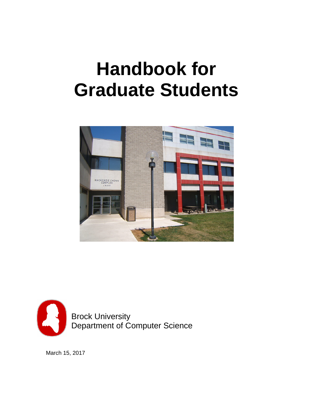# **Handbook for Graduate Students**





March 15, 2017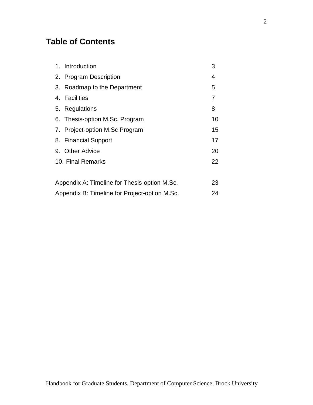# **Table of Contents**

| 1. | Introduction                                 | 3  |
|----|----------------------------------------------|----|
|    | 2. Program Description                       | 4  |
|    | 3. Roadmap to the Department                 | 5  |
|    | 4. Facilities                                | 7  |
|    | 5. Regulations                               | 8  |
|    | 6. Thesis-option M.Sc. Program               | 10 |
|    | 7. Project-option M.Sc Program               | 15 |
|    | 8. Financial Support                         | 17 |
|    | 9. Other Advice                              | 20 |
|    | 10. Final Remarks                            | 22 |
|    |                                              |    |
|    | Appendix A: Timeline for Thesis-option M.Sc. |    |

Appendix B: Timeline for Project-option M.Sc. 24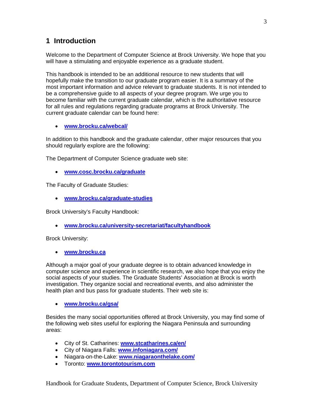## **1 Introduction**

Welcome to the Department of Computer Science at Brock University. We hope that you will have a stimulating and enjoyable experience as a graduate student.

This handbook is intended to be an additional resource to new students that will hopefully make the transition to our graduate program easier. It is a summary of the most important information and advice relevant to graduate students. It is not intended to be a comprehensive guide to all aspects of your degree program. We urge you to become familiar with the current graduate calendar, which is the authoritative resource for all rules and regulations regarding graduate programs at Brock University. The current graduate calendar can be found here:

• **[www.brocku.ca/webcal/](http://www.brocku.ca/webcal/)**

In addition to this handbook and the graduate calendar, other major resources that you should regularly explore are the following:

The Department of Computer Science graduate web site:

• **[www.cosc.brocku.ca/graduate](http://www.cosc.brocku.ca/graduate)**

The Faculty of Graduate Studies:

• **[www.brocku.ca/graduate-studies](http://www.brocku.ca/graduate-studies)**

Brock University's Faculty Handbook:

• **[www.brocku.ca/university-secretariat/facultyhandbook](http://www.brocku.ca/university-secretariat/facultyhandbook)**

Brock University:

• **[www.brocku.ca](http://www.brocku.ca/)**

Although a major goal of your graduate degree is to obtain advanced knowledge in computer science and experience in scientific research, we also hope that you enjoy the social aspects of your studies. The Graduate Students' Association at Brock is worth investigation. They organize social and recreational events, and also administer the health plan and bus pass for graduate students. Their web site is:

• **[www.brocku.ca/gsa/](http://www.brocku.ca/gsa/)**

Besides the many social opportunities offered at Brock University, you may find some of the following web sites useful for exploring the Niagara Peninsula and surrounding areas:

- City of St. Catharines: **[www.stcatharines.ca/en/](http://www.stcatharines.ca/en/)**
- City of Niagara Falls: **[www.infoniagara.com/](http://www.infoniagara.com/)**
- Niagara-on-the-Lake: **[www.niagaraonthelake.com/](http://www.niagaraonthelake.com/)**
- Toronto: **[www.torontotourism.com](http://www.torontotourism.com/)**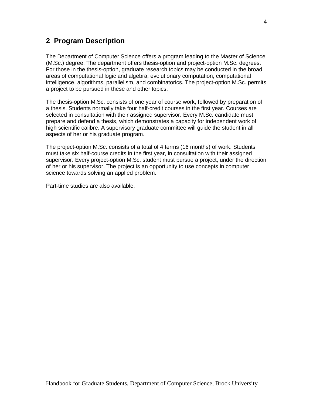## **2 Program Description**

The Department of Computer Science offers a program leading to the Master of Science (M.Sc.) degree. The department offers thesis-option and project-option M.Sc. degrees. For those in the thesis-option, graduate research topics may be conducted in the broad areas of computational logic and algebra, evolutionary computation, computational intelligence, algorithms, parallelism, and combinatorics. The project-option M.Sc. permits a project to be pursued in these and other topics.

The thesis-option M.Sc. consists of one year of course work, followed by preparation of a thesis. Students normally take four half-credit courses in the first year. Courses are selected in consultation with their assigned supervisor. Every M.Sc. candidate must prepare and defend a thesis, which demonstrates a capacity for independent work of high scientific calibre. A supervisory graduate committee will guide the student in all aspects of her or his graduate program.

The project-option M.Sc. consists of a total of 4 terms (16 months) of work. Students must take six half-course credits in the first year, in consultation with their assigned supervisor. Every project-option M.Sc. student must pursue a project, under the direction of her or his supervisor. The project is an opportunity to use concepts in computer science towards solving an applied problem.

Part-time studies are also available.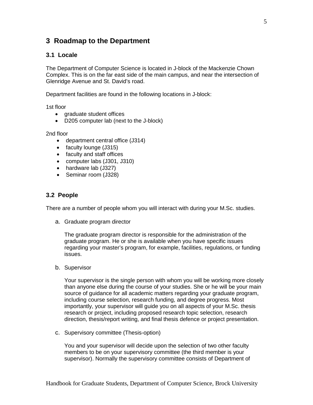## **3 Roadmap to the Department**

## **3.1 Locale**

The Department of Computer Science is located in J-block of the Mackenzie Chown Complex. This is on the far east side of the main campus, and near the intersection of Glenridge Avenue and St. David's road.

Department facilities are found in the following locations in J-block:

1st floor

- araduate student offices
- D205 computer lab (next to the J-block)

2nd floor

- department central office (J314)
- faculty lounge (J315)
- faculty and staff offices
- computer labs (J301, J310)
- hardware lab (J327)
- Seminar room (J328)

## **3.2 People**

There are a number of people whom you will interact with during your M.Sc. studies.

a. Graduate program director

The graduate program director is responsible for the administration of the graduate program. He or she is available when you have specific issues regarding your master's program, for example, facilities, regulations, or funding issues.

b. Supervisor

Your supervisor is the single person with whom you will be working more closely than anyone else during the course of your studies. She or he will be your main source of guidance for all academic matters regarding your graduate program, including course selection, research funding, and degree progress. Most importantly, your supervisor will guide you on all aspects of your M.Sc. thesis research or project, including proposed research topic selection, research direction, thesis/report writing, and final thesis defence or project presentation.

c. Supervisory committee (Thesis-option)

You and your supervisor will decide upon the selection of two other faculty members to be on your supervisory committee (the third member is your supervisor). Normally the supervisory committee consists of Department of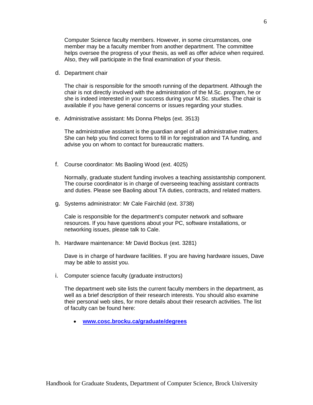Computer Science faculty members. However, in some circumstances, one member may be a faculty member from another department. The committee helps oversee the progress of your thesis, as well as offer advice when required. Also, they will participate in the final examination of your thesis.

d. Department chair

The chair is responsible for the smooth running of the department. Although the chair is not directly involved with the administration of the M.Sc. program, he or she is indeed interested in your success during your M.Sc. studies. The chair is available if you have general concerns or issues regarding your studies.

e. Administrative assistant: Ms Donna Phelps (ext. 3513)

The administrative assistant is the guardian angel of all administrative matters. She can help you find correct forms to fill in for registration and TA funding, and advise you on whom to contact for bureaucratic matters.

f. Course coordinator: Ms Baoling Wood (ext. 4025)

Normally, graduate student funding involves a teaching assistantship component. The course coordinator is in charge of overseeing teaching assistant contracts and duties. Please see Baoling about TA duties, contracts, and related matters.

g. Systems administrator: Mr Cale Fairchild (ext. 3738)

Cale is responsible for the department's computer network and software resources. If you have questions about your PC, software installations, or networking issues, please talk to Cale.

h. Hardware maintenance: Mr David Bockus (ext. 3281)

Dave is in charge of hardware facilities. If you are having hardware issues, Dave may be able to assist you.

i. Computer science faculty (graduate instructors)

The department web site lists the current faculty members in the department, as well as a brief description of their research interests. You should also examine their personal web sites, for more details about their research activities. The list of faculty can be found here:

• **[www.cosc.brocku.ca/graduate/degrees](http://www.cosc.brocku.ca/graduate/degrees)**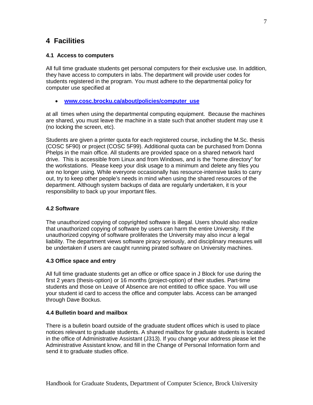## **4 Facilities**

## **4.1 Access to computers**

All full time graduate students get personal computers for their exclusive use. In addition, they have access to computers in labs. The department will provide user codes for students registered in the program. You must adhere to the departmental policy for computer use specified at

• **[www.cosc.brocku.ca/about/policies/computer\\_use](http://www.cosc.brocku.ca/about/policies/computer_use)**

at all times when using the departmental computing equipment. Because the machines are shared, you must leave the machine in a state such that another student may use it (no locking the screen, etc).

Students are given a printer quota for each registered course, including the M.Sc. thesis (COSC 5F90) or project (COSC 5F99). Additional quota can be purchased from Donna Phelps in the main office. All students are provided space on a shared network hard drive. This is accessible from Linux and from Windows, and is the "home directory" for the workstations. Please keep your disk usage to a minimum and delete any files you are no longer using. While everyone occasionally has resource-intensive tasks to carry out, try to keep other people's needs in mind when using the shared resources of the department. Although system backups of data are regularly undertaken, it is your responsibility to back up your important files.

## **4.2 Software**

The unauthorized copying of copyrighted software is illegal. Users should also realize that unauthorized copying of software by users can harm the entire University. If the unauthorized copying of software proliferates the University may also incur a legal liability. The department views software piracy seriously, and disciplinary measures will be undertaken if users are caught running pirated software on University machines.

## **4.3 Office space and entry**

All full time graduate students get an office or office space in J Block for use during the first 2 years (thesis-option) or 16 months (project-option) of their studies. Part-time students and those on Leave of Absence are not entitled to office space. You will use your student id card to access the office and computer labs. Access can be arranged through Dave Bockus.

## **4.4 Bulletin board and mailbox**

There is a bulletin board outside of the graduate student offices which is used to place notices relevant to graduate students. A shared mailbox for graduate students is located in the office of Administrative Assistant (J313). If you change your address please let the Administrative Assistant know, and fill in the Change of Personal Information form and send it to graduate studies office.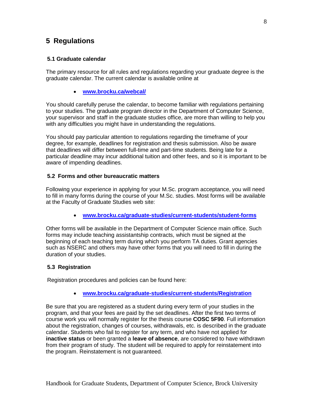## **5 Regulations**

## **5.1 Graduate calendar**

The primary resource for all rules and regulations regarding your graduate degree is the graduate calendar. The current calendar is available online at

• **[www.brocku.ca/webcal/](http://www.brocku.ca/webcal/)**

You should carefully peruse the calendar, to become familiar with regulations pertaining to your studies. The graduate program director in the Department of Computer Science, your supervisor and staff in the graduate studies office, are more than willing to help you with any difficulties you might have in understanding the regulations.

You should pay particular attention to regulations regarding the timeframe of your degree, for example, deadlines for registration and thesis submission. Also be aware that deadlines will differ between full-time and part-time students. Being late for a particular deadline may incur additional tuition and other fees, and so it is important to be aware of impending deadlines.

## **5.2 Forms and other bureaucratic matters**

Following your experience in applying for your M.Sc. program acceptance, you will need to fill in many forms during the course of your M.Sc. studies. Most forms will be available at the Faculty of Graduate Studies web site:

• **[www.brocku.ca/graduate-studies/current-students/student-forms](http://www.brocku.ca/graduate-studies/current-students/student-forms)**

Other forms will be available in the Department of Computer Science main office. Such forms may include teaching assistantship contracts, which must be signed at the beginning of each teaching term during which you perform TA duties. Grant agencies such as NSERC and others may have other forms that you will need to fill in during the duration of your studies.

## **5.3 Registration**

Registration procedures and policies can be found here:

• **[www.brocku.ca/graduate-studies/current-students/Registration](http://www.brocku.ca/graduate-studies/current-students/Registration)**

Be sure that you are registered as a student during every term of your studies in the program, and that your fees are paid by the set deadlines. After the first two terms of course work you will normally register for the thesis course **COSC 5F90**. Full information about the registration, changes of courses, withdrawals, etc. is described in the graduate calendar. Students who fail to register for any term, and who have not applied for **inactive status** or been granted a **leave of absence**, are considered to have withdrawn from their program of study. The student will be required to apply for reinstatement into the program. Reinstatement is not guaranteed.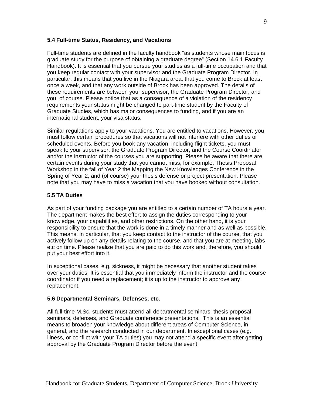## **5.4 Full-time Status, Residency, and Vacations**

Full-time students are defined in the faculty handbook "as students whose main focus is graduate study for the purpose of obtaining a graduate degree" (Section 14.6.1 Faculty Handbook). It is essential that you pursue your studies as a full-time occupation and that you keep regular contact with your supervisor and the Graduate Program Director. In particular, this means that you live in the Niagara area, that you come to Brock at least once a week, and that any work outside of Brock has been approved. The details of these requirements are between your supervisor, the Graduate Program Director, and you, of course. Please notice that as a consequence of a violation of the residency requirements your status might be changed to part-time student by the Faculty of Graduate Studies, which has major consequences to funding, and if you are an international student, your visa status.

Similar regulations apply to your vacations. You are entitled to vacations. However, you must follow certain procedures so that vacations will not interfere with other duties or scheduled events. Before you book any vacation, including flight tickets, you must speak to your supervisor, the Graduate Program Director, and the Course Coordinator and/or the instructor of the courses you are supporting. Please be aware that there are certain events during your study that you cannot miss, for example, Thesis Proposal Workshop in the fall of Year 2 the Mapping the New Knowledges Conference in the Spring of Year 2, and (of course) your thesis defense or project presentation. Please note that you may have to miss a vacation that you have booked without consultation.

## **5.5 TA Duties**

As part of your funding package you are entitled to a certain number of TA hours a year. The department makes the best effort to assign the duties corresponding to your knowledge, your capabilities, and other restrictions. On the other hand, it is your responsibility to ensure that the work is done in a timely manner and as well as possible. This means, in particular, that you keep contact to the instructor of the course, that you actively follow up on any details relating to the course, and that you are at meeting, labs etc on time. Please realize that you are paid to do this work and, therefore, you should put your best effort into it.

In exceptional cases, e.g. sickness, it might be necessary that another student takes over your duties. It is essential that you immediately inform the instructor and the course coordinator if you need a replacement; it is up to the instructor to approve any replacement.

#### **5.6 Departmental Seminars, Defenses, etc.**

All full-time M.Sc. students must attend all departmental seminars, thesis proposal seminars, defenses, and Graduate conference presentations. This is an essential means to broaden your knowledge about different areas of Computer Science, in general, and the research conducted in our department. In exceptional cases (e.g. illness, or conflict with your TA duties) you may not attend a specific event after getting approval by the Graduate Program Director before the event.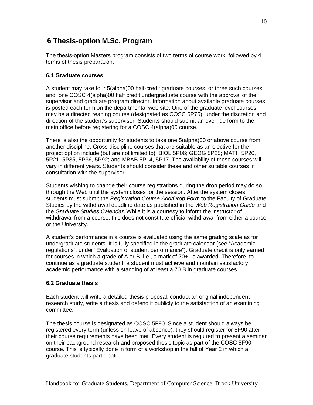## **6 Thesis-option M.Sc. Program**

The thesis-option Masters program consists of two terms of course work, followed by 4 terms of thesis preparation.

## **6.1 Graduate courses**

A student may take four 5(alpha)00 half-credit graduate courses, or three such courses and one COSC 4(alpha)00 half credit undergraduate course with the approval of the supervisor and graduate program director. Information about available graduate courses is posted each term on the departmental web site. One of the graduate level courses may be a directed reading course (designated as COSC 5P75), under the discretion and direction of the student's supervisor. Students should submit an override form to the main office before registering for a COSC 4(alpha)00 course.

There is also the opportunity for students to take one 5(alpha)00 or above course from another discipline. Cross-discipline courses that are suitable as an elective for the project option include (but are not limited to): BIOL 5P06; GEOG 5P25; MATH 5P20, 5P21, 5P35, 5P36, 5P92; and MBAB 5P14, 5P17. The availability of these courses will vary in different years. Students should consider these and other suitable courses in consultation with the supervisor.

Students wishing to change their course registrations during the drop period may do so through the Web until the system closes for the session. After the system closes, students must submit the *Registration Course Add/Drop Form* to the Faculty of Graduate Studies by the withdrawal deadline date as published in the *Web Registration Guide* and the *Graduate Studies Calendar*. While it is a courtesy to inform the instructor of withdrawal from a course, this does not constitute official withdrawal from either a course or the University.

A student's performance in a course is evaluated using the same grading scale as for undergraduate students. It is fully specified in the graduate calendar (see "Academic regulations", under "Evaluation of student performance"). Graduate credit is only earned for courses in which a grade of A or B, i.e., a mark of 70+, is awarded. Therefore, to continue as a graduate student, a student must achieve and maintain satisfactory academic performance with a standing of at least a 70 B in graduate courses.

## **6.2 Graduate thesis**

Each student will write a detailed thesis proposal, conduct an original independent research study, write a thesis and defend it publicly to the satisfaction of an examining committee.

The thesis course is designated as COSC 5F90. Since a student should always be registered every term (unless on leave of absence), they should register for 5F90 after their course requirements have been met. Every student is required to present a seminar on their background research and proposed thesis topic as part of the COSC 5F90 course. This is typically done in form of a workshop in the fall of Year 2 in which all graduate students participate.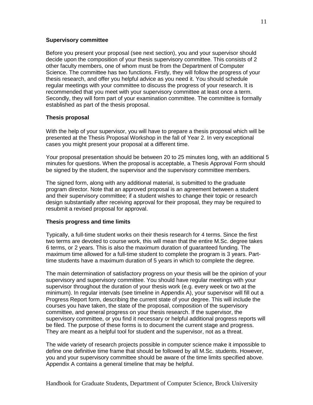## **Supervisory committee**

Before you present your proposal (see next section), you and your supervisor should decide upon the composition of your thesis supervisory committee. This consists of 2 other faculty members, one of whom must be from the Department of Computer Science. The committee has two functions. Firstly, they will follow the progress of your thesis research, and offer you helpful advice as you need it. You should schedule regular meetings with your committee to discuss the progress of your research. It is recommended that you meet with your supervisory committee at least once a term. Secondly, they will form part of your examination committee. The committee is formally established as part of the thesis proposal.

#### **Thesis proposal**

With the help of your supervisor, you will have to prepare a thesis proposal which will be presented at the Thesis Proposal Workshop in the fall of Year 2. In very exceptional cases you might present your proposal at a different time.

Your proposal presentation should be between 20 to 25 minutes long, with an additional 5 minutes for questions. When the proposal is acceptable, a Thesis Approval Form should be signed by the student, the supervisor and the supervisory committee members.

The signed form, along with any additional material, is submitted to the graduate program director. Note that an approved proposal is an agreement between a student and their supervisory committee; if a student wishes to change their topic or research design substantially after receiving approval for their proposal, they may be required to resubmit a revised proposal for approval.

#### **Thesis progress and time limits**

Typically, a full-time student works on their thesis research for 4 terms. Since the first two terms are devoted to course work, this will mean that the entire M.Sc. degree takes 6 terms, or 2 years. This is also the maximum duration of guaranteed funding. The maximum time allowed for a full-time student to complete the program is 3 years. Parttime students have a maximum duration of 5 years in which to complete the degree.

The main determination of satisfactory progress on your thesis will be the opinion of your supervisory and supervisory committee. You should have regular meetings with your supervisor throughout the duration of your thesis work (e.g. every week or two at the minimum). In regular intervals (see timeline in Appendix A), your supervisor will fill out a Progress Report form, describing the current state of your degree. This will include the courses you have taken, the state of the proposal, composition of the supervisory committee, and general progress on your thesis research. If the supervisor, the supervisory committee, or you find it necessary or helpful additional progress reports will be filed. The purpose of these forms is to document the current stage and progress. They are meant as a helpful tool for student and the supervisor, not as a threat.

The wide variety of research projects possible in computer science make it impossible to define one definitive time frame that should be followed by all M.Sc. students. However, you and your supervisory committee should be aware of the time limits specified above. Appendix A contains a general timeline that may be helpful.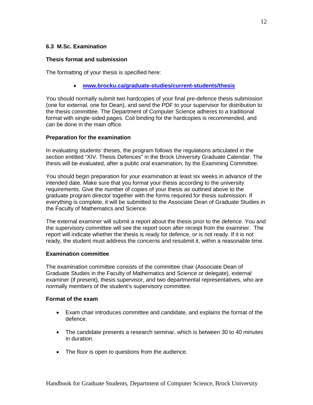## **6.3 M.Sc. Examination**

## **Thesis format and submission**

The formatting of your thesis is specified here:

• **[www.brocku.ca/graduate-studies/current-students/thesis](http://www.brocku.ca/graduate-studies/current-students/thesis)**

You should normally submit two hardcopies of your final pre-defence thesis submission (one for external, one for Dean), and send the PDF to your supervisor for distribution to the thesis committee. The Department of Computer Science adheres to a traditional format with single-sided pages. Coil binding for the hardcopies is recommended, and can be done in the main office.

## **Preparation for the examination**

In evaluating students' theses, the program follows the regulations articulated in the section entitled "XIV. Thesis Defences" in the Brock University Graduate Calendar. The thesis will be evaluated, after a public oral examination, by the Examining Committee.

You should begin preparation for your examination at least six weeks in advance of the intended date. Make sure that you format your thesis according to the university requirements. Give the number of copies of your thesis as outlined above to the graduate program director together with the forms required for thesis submission. If everything is complete, it will be submitted to the Associate Dean of Graduate Studies in the Faculty of Mathematics and Science.

The external examiner will submit a report about the thesis prior to the defence. You and the supervisory committee will see the report soon after receipt from the examiner. The report will indicate whether the thesis is ready for defence, or is not ready. If it is not ready, the student must address the concerns and resubmit it, within a reasonable time.

## **Examination committee**

The examination committee consists of the committee chair (Associate Dean of Graduate Studies in the Faculty of Mathematics and Science or delegate), external examiner (if present), thesis supervisor, and two departmental representatives, who are normally members of the student's supervisory committee.

## **Format of the exam**

- Exam chair introduces committee and candidate, and explains the format of the defence.
- The candidate presents a research seminar, which is between 30 to 40 minutes in duration.
- The floor is open to questions from the audience.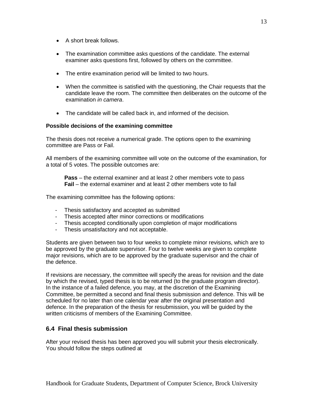- A short break follows.
- The examination committee asks questions of the candidate. The external examiner asks questions first, followed by others on the committee.
- The entire examination period will be limited to two hours.
- When the committee is satisfied with the questioning, the Chair requests that the candidate leave the room. The committee then deliberates on the outcome of the examination *in camera*.
- The candidate will be called back in, and informed of the decision.

## **Possible decisions of the examining committee**

The thesis does not receive a numerical grade. The options open to the examining committee are Pass or Fail.

All members of the examining committee will vote on the outcome of the examination, for a total of 5 votes. The possible outcomes are:

**Pass** – the external examiner and at least 2 other members vote to pass **Fail** – the external examiner and at least 2 other members vote to fail

The examining committee has the following options:

- Thesis satisfactory and accepted as submitted
- Thesis accepted after minor corrections or modifications
- Thesis accepted conditionally upon completion of major modifications
- Thesis unsatisfactory and not acceptable.

Students are given between two to four weeks to complete minor revisions, which are to be approved by the graduate supervisor. Four to twelve weeks are given to complete major revisions, which are to be approved by the graduate supervisor and the chair of the defence.

If revisions are necessary, the committee will specify the areas for revision and the date by which the revised, typed thesis is to be returned (to the graduate program director). In the instance of a failed defence, you may, at the discretion of the Examining Committee, be permitted a second and final thesis submission and defence. This will be scheduled for no later than one calendar year after the original presentation and defence. In the preparation of the thesis for resubmission, you will be guided by the written criticisms of members of the Examining Committee.

## **6.4 Final thesis submission**

After your revised thesis has been approved you will submit your thesis electronically. You should follow the steps outlined at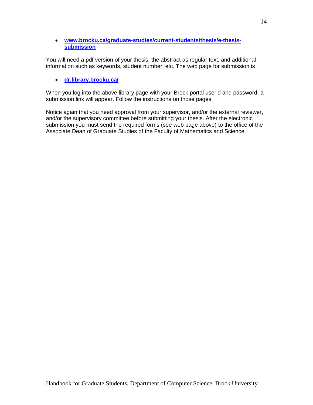## • **[www.brocku.ca/graduate-studies/current-students/thesis/e-thesis](http://www.brocku.ca/graduate-studies/current-students/thesis/e-thesis-submission)[submission](http://www.brocku.ca/graduate-studies/current-students/thesis/e-thesis-submission)**

You will need a pdf version of your thesis, the abstract as regular text, and additional information such as keywords, student number, etc. The web page for submission is

## • **[dr.library.brocku.ca/](http://dr.library.brocku.ca/)**

When you log into the above library page with your Brock portal userid and password, a submission link will appear. Follow the instructions on those pages.

Notice again that you need approval from your supervisor, and/or the external reviewer, and/or the supervisory committee before submitting your thesis. After the electronic submission you must send the required forms (see web page above) to the office of the Associate Dean of Graduate Studies of the Faculty of Mathematics and Science.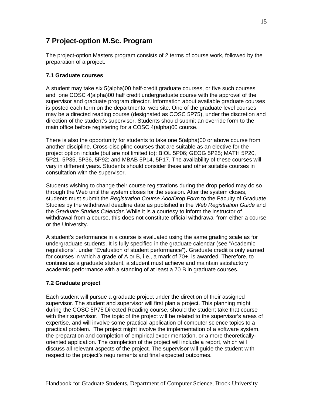## **7 Project-option M.Sc. Program**

The project-option Masters program consists of 2 terms of course work, followed by the preparation of a project.

## **7.1 Graduate courses**

A student may take six 5(alpha)00 half-credit graduate courses, or five such courses and one COSC 4(alpha)00 half credit undergraduate course with the approval of the supervisor and graduate program director. Information about available graduate courses is posted each term on the departmental web site. One of the graduate level courses may be a directed reading course (designated as COSC 5P75), under the discretion and direction of the student's supervisor. Students should submit an override form to the main office before registering for a COSC 4(alpha)00 course.

There is also the opportunity for students to take one 5(alpha)00 or above course from another discipline. Cross-discipline courses that are suitable as an elective for the project option include (but are not limited to): BIOL 5P06; GEOG 5P25; MATH 5P20, 5P21, 5P35, 5P36, 5P92; and MBAB 5P14, 5P17. The availability of these courses will vary in different years. Students should consider these and other suitable courses in consultation with the supervisor.

Students wishing to change their course registrations during the drop period may do so through the Web until the system closes for the session. After the system closes, students must submit the *Registration Course Add/Drop Form* to the Faculty of Graduate Studies by the withdrawal deadline date as published in the *Web Registration Guide* and the *Graduate Studies Calendar*. While it is a courtesy to inform the instructor of withdrawal from a course, this does not constitute official withdrawal from either a course or the University.

A student's performance in a course is evaluated using the same grading scale as for undergraduate students. It is fully specified in the graduate calendar (see "Academic regulations", under "Evaluation of student performance"). Graduate credit is only earned for courses in which a grade of A or B, i.e., a mark of 70+, is awarded. Therefore, to continue as a graduate student, a student must achieve and maintain satisfactory academic performance with a standing of at least a 70 B in graduate courses.

## **7.2 Graduate project**

Each student will pursue a graduate project under the direction of their assigned supervisor. The student and supervisor will first plan a project. This planning might during the COSC 5P75 Directed Reading course, should the student take that course with their supervisor. The topic of the project will be related to the supervisor's areas of expertise, and will involve some practical application of computer science topics to a practical problem. The project might involve the implementation of a software system, the preparation and completion of empirical experimentation, or a more theoreticallyoriented application. The completion of the project will include a report, which will discuss all relevant aspects of the project. The supervisor will guide the student with respect to the project's requirements and final expected outcomes.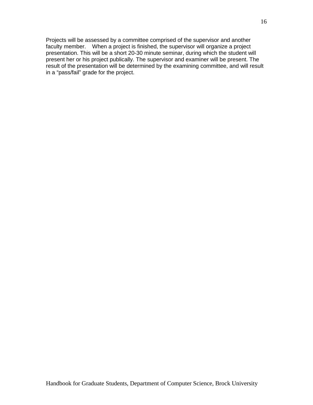Projects will be assessed by a committee comprised of the supervisor and another faculty member. When a project is finished, the supervisor will organize a project presentation. This will be a short 20-30 minute seminar, during which the student will present her or his project publically. The supervisor and examiner will be present. The result of the presentation will be determined by the examining committee, and will result in a "pass/fail" grade for the project.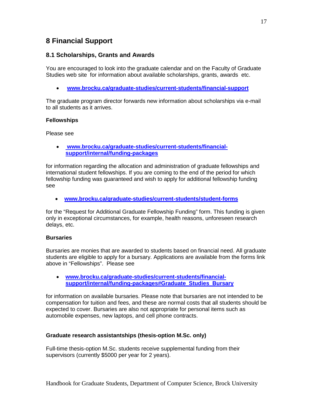## **8 Financial Support**

## **8.1 Scholarships, Grants and Awards**

You are encouraged to look into the graduate calendar and on the Faculty of Graduate Studies web site for information about available scholarships, grants, awards etc.

• **[www.brocku.ca/graduate-studies/current-students/financial-support](http://www.brocku.ca/graduate-studies/current-students/financial-support)**

The graduate program director forwards new information about scholarships via e-mail to all students as it arrives.

## **Fellowships**

Please see

• **www.brocku.ca/graduate-studies/current-students/financialsupport/internal/funding-packages**

for information regarding the allocation and administration of graduate fellowships and international student fellowships. If you are coming to the end of the period for which fellowship funding was guaranteed and wish to apply for additional fellowship funding see

• **[www.brocku.ca/graduate-studies/current-students/student-forms](http://www.brocku.ca/graduate-studies/current-students/student-forms)**

for the "Request for Additional Graduate Fellowship Funding" form. This funding is given only in exceptional circumstances, for example, health reasons, unforeseen research delays, etc.

## **Bursaries**

Bursaries are monies that are awarded to students based on financial need. All graduate students are eligible to apply for a bursary. Applications are available from the forms link above in "Fellowships". Please see

• **[www.brocku.ca/graduate-studies/current-students/financial](http://www.brocku.ca/graduate-studies/current-students/financial-support/internal/funding-packages%23Graduate_Studies_Bursary)[support/internal/funding-packages#Graduate\\_Studies\\_Bursary](http://www.brocku.ca/graduate-studies/current-students/financial-support/internal/funding-packages%23Graduate_Studies_Bursary)**

for information on available bursaries. Please note that bursaries are not intended to be compensation for tuition and fees, and these are normal costs that all students should be expected to cover. Bursaries are also not appropriate for personal items such as automobile expenses, new laptops, and cell phone contracts.

## **Graduate research assistantships (thesis-option M.Sc. only)**

Full-time thesis-option M.Sc. students receive supplemental funding from their supervisors (currently \$5000 per year for 2 years).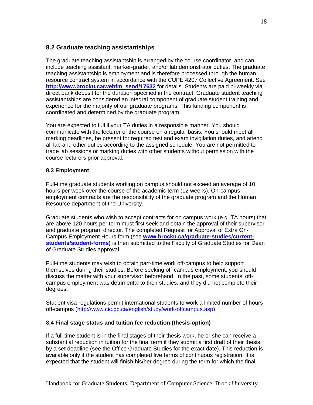## **8.2 Graduate teaching assistantships**

The graduate teaching assistantship is arranged by the course coordinator, and can include teaching assistant, marker-grader, and/or lab demonstrator duties. The graduate teaching assistantship is employment and is therefore processed through the human resource contract system in accordance with the CUPE 4207 Collective Agreement. See **[http://www.brocku.ca/webfm\\_send/17632](http://www.brocku.ca/webfm_send/17632)** for details. Students are paid bi-weekly via direct bank deposit for the duration specified in the contract. Graduate student teaching assistantships are considered an integral component of graduate student training and experience for the majority of our graduate programs. This funding component is coordinated and determined by the graduate program.

You are expected to fulfill your TA duties in a responsible manner. You should communicate with the lecturer of the course on a regular basis. You should meet all marking deadlines, be present for required test and exam invigilation duties, and attend all lab and other duties according to the assigned schedule. You are not permitted to trade lab sessions or marking duties with other students without permission with the course lecturers prior approval.

## **8.3 Employment**

Full-time graduate students working on campus should not exceed an average of 10 hours per week over the course of the academic term (12 weeks). On-campus employment contracts are the responsibility of the graduate program and the Human Resource department of the University.

Graduate students who wish to accept contracts for on campus work (e.g. TA hours) that are above 120 hours per term must first seek and obtain the approval of their supervisor and graduate program director. The completed Request for Approval of Extra On-Campus Employment Hours form (see **[www.brocku.ca/graduate-studies/current](http://www.brocku.ca/graduate-studies/current-students/student-forms)[students/student-forms\)](http://www.brocku.ca/graduate-studies/current-students/student-forms)** is then submitted to the Faculty of Graduate Studies for Dean of Graduate Studies approval.

Full-time students may wish to obtain part-time work off-campus to help support themselves during their studies. Before seeking off-campus employment, you should discuss the matter with your supervisor beforehand. In the past, some students' offcampus employment was detrimental to their studies, and they did not complete their degrees.

Student visa regulations permit international students to work a limited number of hours off-campus [\(http://www.cic.gc.ca/english/study/work-offcampus.asp\)](http://www.cic.gc.ca/english/study/work-offcampus.asp).

## **8.4 Final stage status and tuition fee reduction (thesis-option)**

If a full-time student is in the final stages of their thesis work, he or she can receive a substantial reduction in tuition for the final term if they submit a first draft of their thesis by a set deadline (see the Office Graduate Studies for the exact date). This reduction is available only if the student has completed five terms of continuous registration. It is expected that the student will finish his/her degree during the term for which the final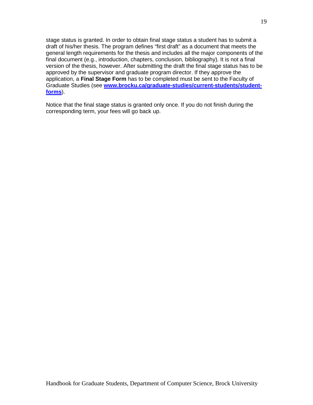stage status is granted. In order to obtain final stage status a student has to submit a draft of his/her thesis. The program defines "first draft" as a document that meets the general length requirements for the thesis and includes all the major components of the final document (e.g., introduction, chapters, conclusion, bibliography). It is not a final version of the thesis, however. After submitting the draft the final stage status has to be approved by the supervisor and graduate program director. If they approve the application, a **Final Stage Form** has to be completed must be sent to the Faculty of Graduate Studies (see **[www.brocku.ca/graduate-studies/current-students/student](http://www.brocku.ca/graduate-studies/current-students/student-forms)[forms](http://www.brocku.ca/graduate-studies/current-students/student-forms)**).

Notice that the final stage status is granted only once. If you do not finish during the corresponding term, your fees will go back up.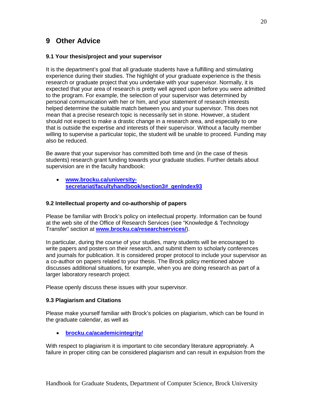## **9 Other Advice**

## **9.1 Your thesis/project and your supervisor**

It is the department's goal that all graduate students have a fulfilling and stimulating experience during their studies. The highlight of your graduate experience is the thesis research or graduate project that you undertake with your supervisor. Normally, it is expected that your area of research is pretty well agreed upon before you were admitted to the program. For example, the selection of your supervisor was determined by personal communication with her or him, and your statement of research interests helped determine the suitable match between you and your supervisor. This does not mean that a precise research topic is necessarily set in stone. However, a student should not expect to make a drastic change in a research area, and especially to one that is outside the expertise and interests of their supervisor. Without a faculty member willing to supervise a particular topic, the student will be unable to proceed. Funding may also be reduced.

Be aware that your supervisor has committed both time and (in the case of thesis students) research grant funding towards your graduate studies. Further details about supervision are in the faculty handbook:

• **[www.brocku.ca/university](http://www.brocku.ca/university-secretariat/facultyhandbook/section3%23_genIndex93)[secretariat/facultyhandbook/section3#\\_genIndex93](http://www.brocku.ca/university-secretariat/facultyhandbook/section3%23_genIndex93)**

## **9.2 Intellectual property and co-authorship of papers**

Please be familiar with Brock's policy on intellectual property. Information can be found at the web site of the Office of Research Services (see "Knowledge & Technology Transfer" section at **[www.brocku.ca/researchservices/](http://www.brocku.ca/researchservices/)**).

In particular, during the course of your studies, many students will be encouraged to write papers and posters on their research, and submit them to scholarly conferences and journals for publication. It is considered proper protocol to include your supervisor as a co-author on papers related to your thesis. The Brock policy mentioned above discusses additional situations, for example, when you are doing research as part of a larger laboratory research project.

Please openly discuss these issues with your supervisor.

## **9.3 Plagiarism and Citations**

Please make yourself familiar with Brock's policies on plagiarism, which can be found in the graduate calendar, as well as

• **[brocku.ca/academicintegrity/](http://brocku.ca/academicintegrity/)**

With respect to plagiarism it is important to cite secondary literature appropriately. A failure in proper citing can be considered plagiarism and can result in expulsion from the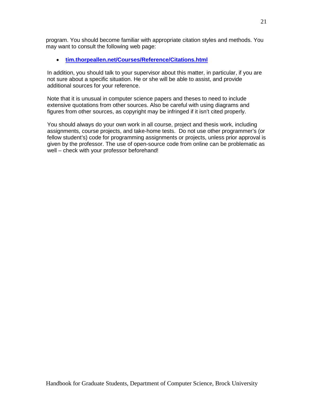program. You should become familiar with appropriate citation styles and methods. You may want to consult the following web page:

## • **[tim.thorpeallen.net/Courses/Reference/Citations.html](http://tim.thorpeallen.net/Courses/Reference/Citations.html)**

In addition, you should talk to your supervisor about this matter, in particular, if you are not sure about a specific situation. He or she will be able to assist, and provide additional sources for your reference.

Note that it is unusual in computer science papers and theses to need to include extensive quotations from other sources. Also be careful with using diagrams and figures from other sources, as copyright may be infringed if it isn't cited properly.

You should always do your own work in all course, project and thesis work, including assignments, course projects, and take-home tests. Do not use other programmer's (or fellow student's) code for programming assignments or projects, unless prior approval is given by the professor. The use of open-source code from online can be problematic as well – check with your professor beforehand!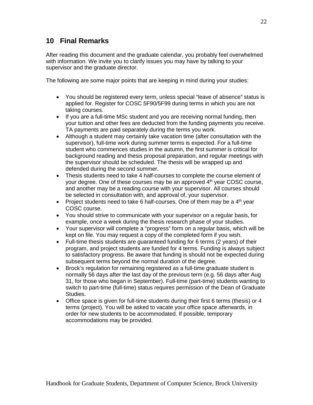## **10 Final Remarks**

After reading this document and the graduate calendar, you probably feel overwhelmed with information. We invite you to clarify issues you may have by talking to your supervisor and the graduate director.

The following are some major points that are keeping in mind during your studies:

- You should be registered every term, unless special "leave of absence" status is applied for. Register for COSC 5F90/5F99 during terms in which you are not taking courses.
- If you are a full-time MSc student and you are receiving normal funding, then your tuition and other fees are deducted from the funding payments you receive. TA payments are paid separately during the terms you work.
- Although a student may certainly take vacation time (after consultation with the supervisor), full-time work during summer terms is expected. For a full-time student who commences studies in the autumn, the first summer is critical for background reading and thesis proposal preparation, and regular meetings with the supervisor should be scheduled. The thesis will be wrapped up and defended during the second summer.
- Thesis students need to take 4 half-courses to complete the course element of your degree. One of these courses may be an approved  $4<sup>th</sup>$  year COSC course, and another may be a reading course with your supervisor. All courses should be selected in consultation with, and approval of, your supervisor.
- Project students need to take 6 half-courses. One of them may be a  $4<sup>th</sup>$  year COSC course.
- You should strive to communicate with your supervisor on a regular basis, for example, once a week during the thesis research phase of your studies.
- Your supervisor will complete a "progress" form on a regular basis, which will be kept on file. You may request a copy of the completed form if you wish.
- Full-time thesis students are guaranteed funding for 6 terms (2 years) of their program, and project students are funded for 4 terms. Funding is always subject to satisfactory progress. Be aware that funding is should not be expected during subsequent terms beyond the normal duration of the degree.
- Brock's regulation for remaining registered as a full-time graduate student is normally 56 days after the last day of the previous term (e.g. 56 days after Aug 31, for those who began in September). Full-time (part-time) students wanting to switch to part-time (full-time) status requires permission of the Dean of Graduate Studies.
- Office space is given for full-time students during their first 6 terms (thesis) or 4 terms (project). You will be asked to vacate your office space afterwards, in order for new students to be accommodated. If possible, temporary accommodations may be provided.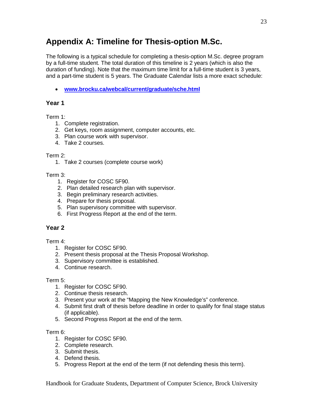# **Appendix A: Timeline for Thesis-option M.Sc.**

The following is a typical schedule for completing a thesis-option M.Sc. degree program by a full-time student. The total duration of this timeline is 2 years (which is also the duration of funding). Note that the maximum time limit for a full-time student is 3 years, and a part-time student is 5 years. The Graduate Calendar lists a more exact schedule:

• **[www.brocku.ca/webcal/current/graduate/sche.html](http://www.brocku.ca/webcal/current/graduate/sche.html)**

## **Year 1**

Term 1:

- 1. Complete registration.
- 2. Get keys, room assignment, computer accounts, etc.
- 3. Plan course work with supervisor.
- 4. Take 2 courses.

## Term 2:

1. Take 2 courses (complete course work)

## Term 3:

- 1. Register for COSC 5F90.
- 2. Plan detailed research plan with supervisor.
- 3. Begin preliminary research activities.
- 4. Prepare for thesis proposal.
- 5. Plan supervisory committee with supervisor.
- 6. First Progress Report at the end of the term.

## **Year 2**

## Term 4:

- 1. Register for COSC 5F90.
- 2. Present thesis proposal at the Thesis Proposal Workshop.
- 3. Supervisory committee is established.
- 4. Continue research.

## Term 5:

- 1. Register for COSC 5F90.
- 2. Continue thesis research.
- 3. Present your work at the "Mapping the New Knowledge's" conference.
- 4. Submit first draft of thesis before deadline in order to qualify for final stage status (if applicable).
- 5. Second Progress Report at the end of the term.

## Term 6:

- 1. Register for COSC 5F90.
- 2. Complete research.
- 3. Submit thesis.
- 4. Defend thesis.
- 5. Progress Report at the end of the term (if not defending thesis this term).